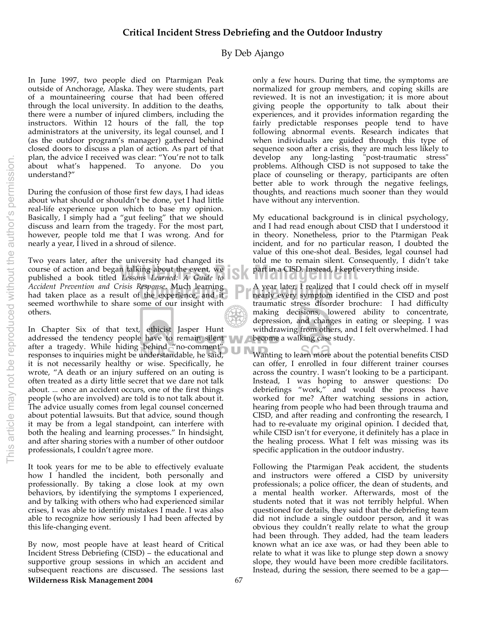## **Critical Incident Stress Debriefing and the Outdoor Industry**

## By Deb Ajango

In June 1997, two people died on Ptarmigan Peak outside of Anchorage, Alaska. They were students, part of a mountaineering course that had been offered through the local university. In addition to the deaths, there were a number of injured climbers, including the instructors. Within 12 hours of the fall, the top administrators at the university, its legal counsel, and I (as the outdoor program's manager) gathered behind closed doors to discuss a plan of action. As part of that plan, the advice I received was clear: "You're not to talk about what's happened. To anyone. Do you understand?"

During the confusion of those first few days, I had ideas about what should or shouldn't be done, yet I had little real-life experience upon which to base my opinion. Basically, I simply had a "gut feeling" that we should discuss and learn from the tragedy. For the most part, however, people told me that I was wrong. And for nearly a year, I lived in a shroud of silence.

Accident Prevention and Crisis Response. Much learning<br>
had taken place as a result of the experience, and it<br>
confidence that the experience and it is the experience of the contract the training that the second worthwite course of action and began talking about the event, we **see that the CISD.** Instead, I kept could be published a book titled Lessons Learned: A Guide to Two years later, after the university had changed its published a book titled *Lessons Learned: A Guide to Accident Prevention and Crisis Response*. Much learning seemed worthwhile to share some of our insight with others.

In Chapter Six of that text, ethicist Jasper Hunt addressed the tendency people have to remain silent after a tragedy. While hiding behind "no-comment" responses to inquiries might be understandable, he said, it is not necessarily healthy or wise. Specifically, he wrote, "A death or an injury suffered on an outing is often treated as a dirty little secret that we dare not talk about. ... once an accident occurs, one of the first things people (who are involved) are told is to not talk about it. The advice usually comes from legal counsel concerned about potential lawsuits. But that advice, sound though it may be from a legal standpoint, can interfere with both the healing and learning processes." In hindsight, and after sharing stories with a number of other outdoor professionals, I couldn't agree more.

It took years for me to be able to effectively evaluate how I handled the incident, both personally and professionally. By taking a close look at my own behaviors, by identifying the symptoms I experienced, and by talking with others who had experienced similar crises, I was able to identify mistakes I made. I was also able to recognize how seriously I had been affected by this life-changing event.

**Wilderness Risk Management 2004** 67 By now, most people have at least heard of Critical Incident Stress Debriefing (CISD) – the educational and supportive group sessions in which an accident and subsequent reactions are discussed. The sessions last

only a few hours. During that time, the symptoms are normalized for group members, and coping skills are reviewed. It is not an investigation; it is more about giving people the opportunity to talk about their experiences, and it provides information regarding the fairly predictable responses people tend to have following abnormal events. Research indicates that when individuals are guided through this type of sequence soon after a crisis, they are much less likely to develop any long-lasting "post-traumatic stress" problems. Although CISD is not supposed to take the place of counseling or therapy, participants are often better able to work through the negative feelings, thoughts, and reactions much sooner than they would have without any intervention.

My educational background is in clinical psychology, and I had read enough about CISD that I understood it in theory. Nonetheless, prior to the Ptarmigan Peak incident, and for no particular reason, I doubted the value of this one-shot deal. Besides, legal counsel had told me to remain silent. Consequently, I didn't take part in a CISD. Instead, I kept everything inside.

A year later, I realized that I could check off in myself nearly every symptom identified in the CISD and post traumatic stress disorder brochure: I had difficulty making decisions, lowered ability to concentrate, depression, and changes in eating or sleeping. I was withdrawing from others, and I felt overwhelmed. I had become a walking case study.

Wanting to learn more about the potential benefits CISD can offer, I enrolled in four different trainer courses across the country. I wasn't looking to be a participant. Instead, I was hoping to answer questions: Do debriefings "work," and would the process have worked for me? After watching sessions in action, hearing from people who had been through trauma and CISD, and after reading and confronting the research, I had to re-evaluate my original opinion. I decided that, while CISD isn't for everyone, it definitely has a place in the healing process. What I felt was missing was its specific application in the outdoor industry.

Following the Ptarmigan Peak accident, the students and instructors were offered a CISD by university professionals; a police officer, the dean of students, and a mental health worker. Afterwards, most of the students noted that it was not terribly helpful. When questioned for details, they said that the debriefing team did not include a single outdoor person, and it was obvious they couldn't really relate to what the group had been through. They added, had the team leaders known what an ice axe was, or had they been able to relate to what it was like to plunge step down a snowy slope, they would have been more credible facilitators. Instead, during the session, there seemed to be a gap